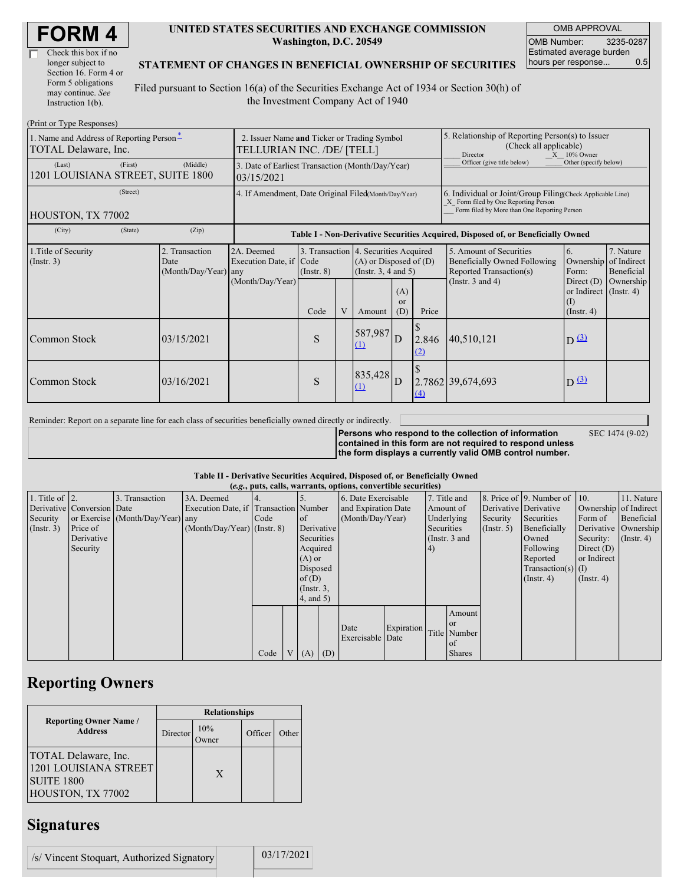| <b>FORM4</b> |
|--------------|
|--------------|

| Check this box if no  |  |
|-----------------------|--|
| longer subject to     |  |
| Section 16. Form 4 or |  |
| Form 5 obligations    |  |
| may continue. See     |  |
| Instruction 1(b).     |  |

#### **UNITED STATES SECURITIES AND EXCHANGE COMMISSION Washington, D.C. 20549**

OMB APPROVAL OMB Number: 3235-0287 Estimated average burden hours per response... 0.5

#### **STATEMENT OF CHANGES IN BENEFICIAL OWNERSHIP OF SECURITIES**

Filed pursuant to Section 16(a) of the Securities Exchange Act of 1934 or Section 30(h) of the Investment Company Act of 1940

| (Print or Type Responses)                                        |                                                                           |                                                           |                                                                                                         |                                                                                                 |                     |                             |                                                                                                                                                    |                                                                                                             |                                                              |                                                     |
|------------------------------------------------------------------|---------------------------------------------------------------------------|-----------------------------------------------------------|---------------------------------------------------------------------------------------------------------|-------------------------------------------------------------------------------------------------|---------------------|-----------------------------|----------------------------------------------------------------------------------------------------------------------------------------------------|-------------------------------------------------------------------------------------------------------------|--------------------------------------------------------------|-----------------------------------------------------|
| 1. Name and Address of Reporting Person-<br>TOTAL Delaware, Inc. | 2. Issuer Name and Ticker or Trading Symbol<br>TELLURIAN INC. /DE/ [TELL] |                                                           |                                                                                                         |                                                                                                 |                     |                             | 5. Relationship of Reporting Person(s) to Issuer<br>(Check all applicable)<br>Director<br>$X = 10\%$ Owner                                         |                                                                                                             |                                                              |                                                     |
| (First)<br>(Last)<br>1201 LOUISIANA STREET, SUITE 1800           | (Middle)                                                                  | 03/15/2021                                                | Officer (give title below)<br>Other (specify below)<br>3. Date of Earliest Transaction (Month/Day/Year) |                                                                                                 |                     |                             |                                                                                                                                                    |                                                                                                             |                                                              |                                                     |
| (Street)<br>HOUSTON, TX 77002                                    | 4. If Amendment, Date Original Filed(Month/Day/Year)                      |                                                           |                                                                                                         |                                                                                                 |                     |                             | 6. Individual or Joint/Group Filing Check Applicable Line)<br>X Form filed by One Reporting Person<br>Form filed by More than One Reporting Person |                                                                                                             |                                                              |                                                     |
| (City)<br>(State)                                                | (Zip)                                                                     |                                                           | Table I - Non-Derivative Securities Acquired, Disposed of, or Beneficially Owned                        |                                                                                                 |                     |                             |                                                                                                                                                    |                                                                                                             |                                                              |                                                     |
| 1. Title of Security<br>(Insert. 3)                              | 2. Transaction<br>Date<br>(Month/Day/Year) any                            | 2A. Deemed<br>Execution Date, if Code<br>(Month/Day/Year) | $($ Instr. $8)$                                                                                         | 3. Transaction 4. Securities Acquired<br>$(A)$ or Disposed of $(D)$<br>(Instr. $3, 4$ and $5$ ) |                     |                             |                                                                                                                                                    | 5. Amount of Securities<br>Beneficially Owned Following<br>Reported Transaction(s)<br>(Instr. $3$ and $4$ ) | 6.<br>Ownership<br>Form:<br>Direct $(D)$                     | 7. Nature<br>of Indirect<br>Beneficial<br>Ownership |
|                                                                  |                                                                           |                                                           | Code                                                                                                    |                                                                                                 | Amount              | (A)<br><sub>or</sub><br>(D) | Price                                                                                                                                              |                                                                                                             | or Indirect $($ Instr. 4 $)$<br>$\rm(I)$<br>$($ Instr. 4 $)$ |                                                     |
| Common Stock                                                     | 03/15/2021                                                                |                                                           | S                                                                                                       |                                                                                                 | 587,987<br>$\Omega$ | D                           | 2.846<br>(2)                                                                                                                                       | 40,510,121                                                                                                  | $D(\underline{3})$                                           |                                                     |
| Common Stock                                                     | 03/16/2021                                                                |                                                           | S                                                                                                       |                                                                                                 | 835,428<br>(1)      | D                           | (4)                                                                                                                                                | 2.7862 39,674,693                                                                                           | $D^{(3)}$                                                    |                                                     |

Reminder: Report on a separate line for each class of securities beneficially owned directly or indirectly.

**Persons who respond to the collection of information contained in this form are not required to respond unless the form displays a currently valid OMB control number.**

SEC 1474 (9-02)

**Table II - Derivative Securities Acquired, Disposed of, or Beneficially Owned**

|                        | (e.g., puts, calls, warrants, options, convertible securities) |                                  |                                       |      |  |                 |                  |                     |            |              |                 |                  |                              |                       |                      |
|------------------------|----------------------------------------------------------------|----------------------------------|---------------------------------------|------|--|-----------------|------------------|---------------------|------------|--------------|-----------------|------------------|------------------------------|-----------------------|----------------------|
| 1. Title of $\vert$ 2. |                                                                | 3. Transaction                   | 3A. Deemed                            |      |  |                 |                  | 6. Date Exercisable |            | 7. Title and |                 |                  | 8. Price of 9. Number of 10. |                       | 11. Nature           |
|                        | Derivative Conversion Date                                     |                                  | Execution Date, if Transaction Number |      |  |                 |                  | and Expiration Date |            | Amount of    |                 |                  | Derivative Derivative        | Ownership of Indirect |                      |
| Security               |                                                                | or Exercise (Month/Day/Year) any |                                       | Code |  | $\circ$ f       | (Month/Day/Year) |                     |            | Underlying   | Security        | Securities       | Form of                      | Beneficial            |                      |
| (Insert. 3)            | Price of                                                       |                                  | $(Month/Day/Year)$ (Instr. 8)         |      |  | Derivative      |                  |                     |            | Securities   |                 | $($ Instr. 5 $)$ | Beneficially                 |                       | Derivative Ownership |
|                        | Derivative                                                     |                                  |                                       |      |  | Securities      |                  |                     |            |              | (Instr. $3$ and |                  | Owned                        | Security:             | $($ Instr. 4 $)$     |
|                        | Security                                                       |                                  |                                       |      |  | Acquired        |                  |                     |            | (4)          |                 |                  | Following                    | Direct $(D)$          |                      |
|                        |                                                                |                                  |                                       |      |  | $(A)$ or        |                  |                     |            |              |                 |                  | Reported                     | or Indirect           |                      |
|                        |                                                                |                                  |                                       |      |  | Disposed        |                  |                     |            |              |                 |                  | Transaction(s) $(I)$         |                       |                      |
|                        |                                                                |                                  |                                       |      |  | of(D)           |                  |                     |            |              |                 |                  | $($ Instr. 4 $)$             | $($ Instr. 4 $)$      |                      |
|                        |                                                                |                                  |                                       |      |  | $($ Instr. $3,$ |                  |                     |            |              |                 |                  |                              |                       |                      |
|                        |                                                                |                                  |                                       |      |  | $4$ , and $5$ ) |                  |                     |            |              |                 |                  |                              |                       |                      |
|                        |                                                                |                                  |                                       |      |  |                 |                  |                     |            |              | Amount          |                  |                              |                       |                      |
|                        |                                                                |                                  |                                       |      |  |                 |                  |                     |            |              | <b>or</b>       |                  |                              |                       |                      |
|                        |                                                                |                                  |                                       |      |  |                 |                  | Date                | Expiration |              | Title Number    |                  |                              |                       |                      |
|                        |                                                                |                                  |                                       |      |  |                 |                  | Exercisable Date    |            |              | of              |                  |                              |                       |                      |
|                        |                                                                |                                  |                                       | Code |  | $(A)$ $(D)$     |                  |                     |            |              | <b>Shares</b>   |                  |                              |                       |                      |

## **Reporting Owners**

|                                                                                                | <b>Relationships</b> |                  |         |       |  |  |  |  |
|------------------------------------------------------------------------------------------------|----------------------|------------------|---------|-------|--|--|--|--|
| <b>Reporting Owner Name /</b><br><b>Address</b>                                                | Director             | 10%<br>)<br>wner | Officer | Other |  |  |  |  |
| <b>TOTAL Delaware, Inc.</b><br>1201 LOUISIANA STREET<br><b>SUITE 1800</b><br>HOUSTON, TX 77002 |                      | X                |         |       |  |  |  |  |

# **Signatures**

/s/ Vincent Stoquart, Authorized Signatory